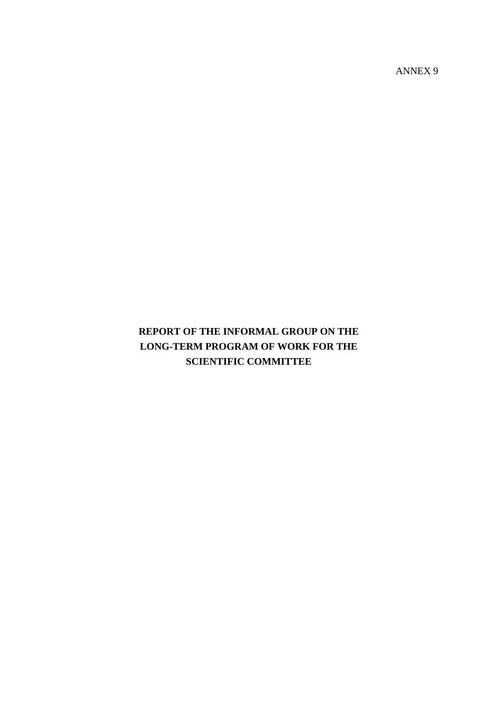ANNEX 9

# **REPORT OF THE INFORMAL GROUP ON THE LONG-TERM PROGRAM OF WORK FOR THE SCIENTIFIC COMMITTEE**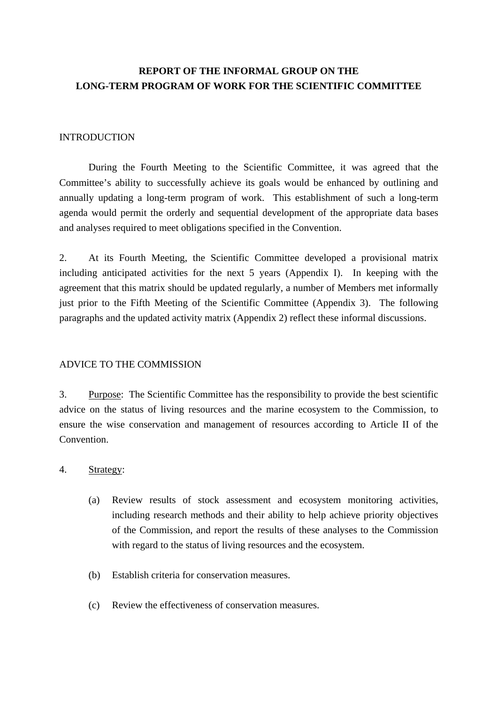## **REPORT OF THE INFORMAL GROUP ON THE LONG-TERM PROGRAM OF WORK FOR THE SCIENTIFIC COMMITTEE**

#### INTRODUCTION

 During the Fourth Meeting to the Scientific Committee, it was agreed that the Committee's ability to successfully achieve its goals would be enhanced by outlining and annually updating a long-term program of work. This establishment of such a long-term agenda would permit the orderly and sequential development of the appropriate data bases and analyses required to meet obligations specified in the Convention.

2. At its Fourth Meeting, the Scientific Committee developed a provisional matrix including anticipated activities for the next 5 years (Appendix I). In keeping with the agreement that this matrix should be updated regularly, a number of Members met informally just prior to the Fifth Meeting of the Scientific Committee (Appendix 3). The following paragraphs and the updated activity matrix (Appendix 2) reflect these informal discussions.

#### ADVICE TO THE COMMISSION

3. Purpose: The Scientific Committee has the responsibility to provide the best scientific advice on the status of living resources and the marine ecosystem to the Commission, to ensure the wise conservation and management of resources according to Article II of the Convention.

#### 4. Strategy:

- (a) Review results of stock assessment and ecosystem monitoring activities, including research methods and their ability to help achieve priority objectives of the Commission, and report the results of these analyses to the Commission with regard to the status of living resources and the ecosystem.
- (b) Establish criteria for conservation measures.
- (c) Review the effectiveness of conservation measures.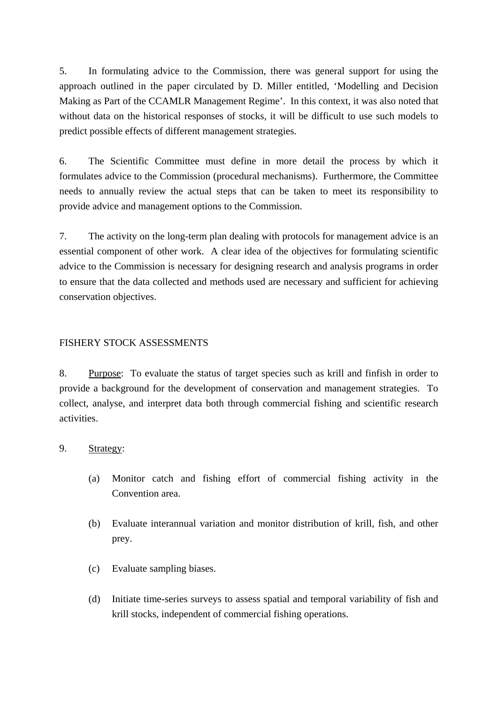5. In formulating advice to the Commission, there was general support for using the approach outlined in the paper circulated by D. Miller entitled, 'Modelling and Decision Making as Part of the CCAMLR Management Regime'. In this context, it was also noted that without data on the historical responses of stocks, it will be difficult to use such models to predict possible effects of different management strategies.

6. The Scientific Committee must define in more detail the process by which it formulates advice to the Commission (procedural mechanisms). Furthermore, the Committee needs to annually review the actual steps that can be taken to meet its responsibility to provide advice and management options to the Commission.

7. The activity on the long-term plan dealing with protocols for management advice is an essential component of other work. A clear idea of the objectives for formulating scientific advice to the Commission is necessary for designing research and analysis programs in order to ensure that the data collected and methods used are necessary and sufficient for achieving conservation objectives.

### FISHERY STOCK ASSESSMENTS

8. Purpose: To evaluate the status of target species such as krill and finfish in order to provide a background for the development of conservation and management strategies. To collect, analyse, and interpret data both through commercial fishing and scientific research activities.

### 9. Strategy:

- (a) Monitor catch and fishing effort of commercial fishing activity in the Convention area.
- (b) Evaluate interannual variation and monitor distribution of krill, fish, and other prey.
- (c) Evaluate sampling biases.
- (d) Initiate time-series surveys to assess spatial and temporal variability of fish and krill stocks, independent of commercial fishing operations.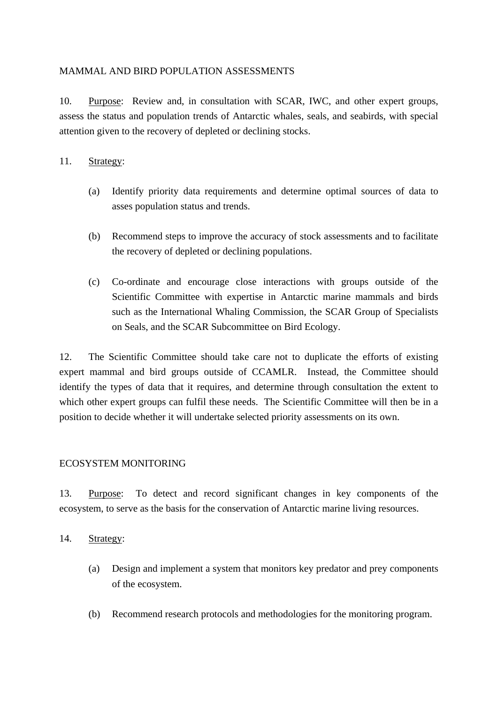### MAMMAL AND BIRD POPULATION ASSESSMENTS

10. Purpose: Review and, in consultation with SCAR, IWC, and other expert groups, assess the status and population trends of Antarctic whales, seals, and seabirds, with special attention given to the recovery of depleted or declining stocks.

### 11. Strategy:

- (a) Identify priority data requirements and determine optimal sources of data to asses population status and trends.
- (b) Recommend steps to improve the accuracy of stock assessments and to facilitate the recovery of depleted or declining populations.
- (c) Co-ordinate and encourage close interactions with groups outside of the Scientific Committee with expertise in Antarctic marine mammals and birds such as the International Whaling Commission, the SCAR Group of Specialists on Seals, and the SCAR Subcommittee on Bird Ecology.

12. The Scientific Committee should take care not to duplicate the efforts of existing expert mammal and bird groups outside of CCAMLR. Instead, the Committee should identify the types of data that it requires, and determine through consultation the extent to which other expert groups can fulfil these needs. The Scientific Committee will then be in a position to decide whether it will undertake selected priority assessments on its own.

#### ECOSYSTEM MONITORING

13. Purpose: To detect and record significant changes in key components of the ecosystem, to serve as the basis for the conservation of Antarctic marine living resources.

14. Strategy:

- (a) Design and implement a system that monitors key predator and prey components of the ecosystem.
- (b) Recommend research protocols and methodologies for the monitoring program.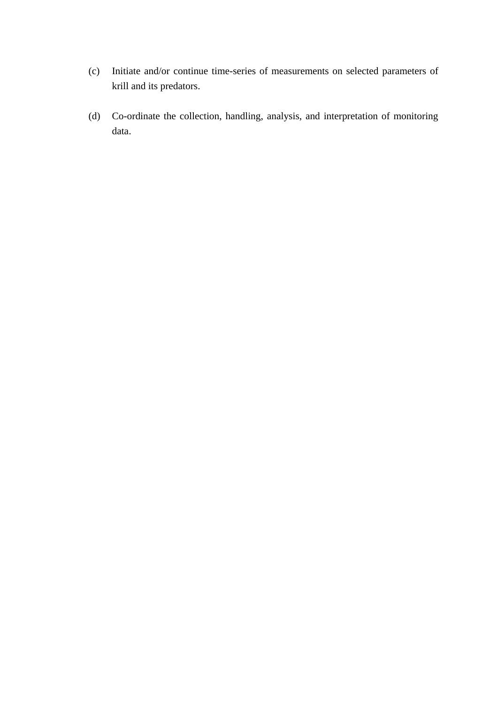- (c) Initiate and/or continue time-series of measurements on selected parameters of krill and its predators.
- (d) Co-ordinate the collection, handling, analysis, and interpretation of monitoring data.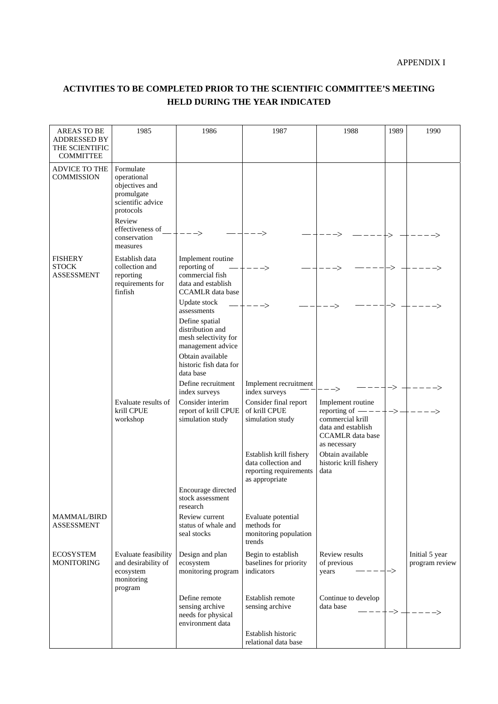#### APPENDIX I

## **ACTIVITIES TO BE COMPLETED PRIOR TO THE SCIENTIFIC COMMITTEE'S MEETING HELD DURING THE YEAR INDICATED**

| <b>AREAS TO BE</b><br>ADDRESSED BY<br>THE SCIENTIFIC<br><b>COMMITTEE</b> | 1985                                                                                                                                     | 1986                                                                                                                                                                      | 1987                                                                                       | 1988                                                                                                                         | 1989          | 1990                             |
|--------------------------------------------------------------------------|------------------------------------------------------------------------------------------------------------------------------------------|---------------------------------------------------------------------------------------------------------------------------------------------------------------------------|--------------------------------------------------------------------------------------------|------------------------------------------------------------------------------------------------------------------------------|---------------|----------------------------------|
| <b>ADVICE TO THE</b><br><b>COMMISSION</b>                                | Formulate<br>operational<br>objectives and<br>promulgate<br>scientific advice<br>protocols<br>Review<br>effectiveness of<br>conservation |                                                                                                                                                                           |                                                                                            |                                                                                                                              |               |                                  |
| <b>FISHERY</b><br><b>STOCK</b><br><b>ASSESSMENT</b>                      | measures<br>Establish data<br>collection and<br>reporting<br>requirements for<br>finfish                                                 | Implement routine<br>reporting of<br>commercial fish<br>data and establish<br><b>CCAMLR</b> data base                                                                     |                                                                                            |                                                                                                                              |               |                                  |
|                                                                          |                                                                                                                                          | Update stock<br>assessments<br>Define spatial<br>distribution and<br>mesh selectivity for<br>management advice<br>Obtain available<br>historic fish data for<br>data base |                                                                                            |                                                                                                                              |               |                                  |
|                                                                          |                                                                                                                                          | Define recruitment<br>index surveys                                                                                                                                       | Implement recruitment<br>index surveys                                                     | -->                                                                                                                          |               |                                  |
|                                                                          | Evaluate results of<br>krill CPUE<br>workshop                                                                                            | Consider interim<br>report of krill CPUE<br>simulation study                                                                                                              | Consider final report<br>of krill CPUE<br>simulation study                                 | Implement routine<br>reporting of $\_\$<br>commercial krill<br>data and establish<br><b>CCAMLR</b> data base<br>as necessary | ->-           |                                  |
|                                                                          |                                                                                                                                          |                                                                                                                                                                           | Establish krill fishery<br>data collection and<br>reporting requirements<br>as appropriate | Obtain available<br>historic krill fishery<br>data                                                                           |               |                                  |
|                                                                          |                                                                                                                                          | Encourage directed<br>stock assessment<br>research                                                                                                                        |                                                                                            |                                                                                                                              |               |                                  |
| <b>MAMMAL/BIRD</b><br><b>ASSESSMENT</b>                                  |                                                                                                                                          | Review current<br>status of whale and<br>seal stocks                                                                                                                      | Evaluate potential<br>methods for<br>monitoring population<br>trends                       |                                                                                                                              |               |                                  |
| <b>ECOSYSTEM</b><br><b>MONITORING</b>                                    | Evaluate feasibility<br>and desirability of<br>ecosystem<br>monitoring<br>program                                                        | Design and plan<br>ecosystem<br>monitoring program                                                                                                                        | Begin to establish<br>baselines for priority<br>indicators                                 | Review results<br>of previous<br>$\frac{1}{2}$<br>years                                                                      | $\rightarrow$ | Initial 5 year<br>program review |
|                                                                          |                                                                                                                                          | Define remote<br>sensing archive<br>needs for physical<br>environment data                                                                                                | Establish remote<br>sensing archive                                                        | Continue to develop<br>data base                                                                                             |               |                                  |
|                                                                          |                                                                                                                                          |                                                                                                                                                                           | Establish historic<br>relational data base                                                 |                                                                                                                              |               |                                  |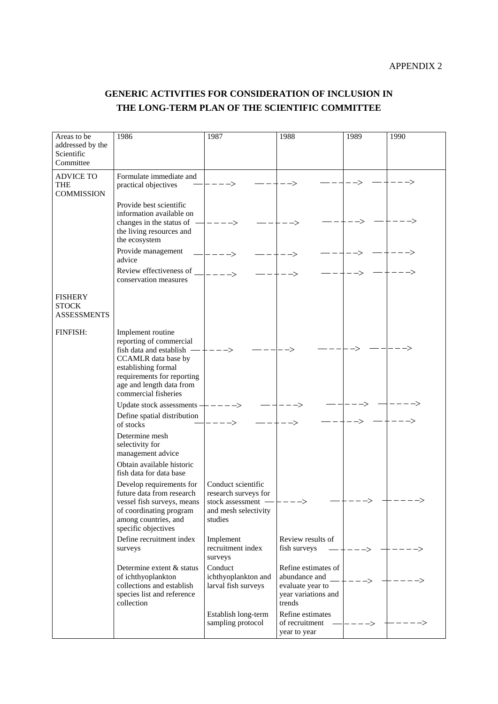## **GENERIC ACTIVITIES FOR CONSIDERATION OF INCLUSION IN THE LONG-TERM PLAN OF THE SCIENTIFIC COMMITTEE**

| Areas to be<br>addressed by the<br>Scientific<br>Committee | 1986                                                                                                                                                                                                    | 1987                                                                                                                        | 1988                                                                                      | 1989 | 1990 |
|------------------------------------------------------------|---------------------------------------------------------------------------------------------------------------------------------------------------------------------------------------------------------|-----------------------------------------------------------------------------------------------------------------------------|-------------------------------------------------------------------------------------------|------|------|
| <b>ADVICE TO</b><br><b>THE</b><br><b>COMMISSION</b>        | Formulate immediate and<br>practical objectives                                                                                                                                                         |                                                                                                                             |                                                                                           |      |      |
|                                                            | Provide best scientific<br>information available on<br>changes in the status of -<br>the living resources and                                                                                           |                                                                                                                             |                                                                                           |      |      |
|                                                            | the ecosystem<br>Provide management<br>advice                                                                                                                                                           |                                                                                                                             |                                                                                           |      |      |
|                                                            | Review effectiveness of _<br>conservation measures                                                                                                                                                      |                                                                                                                             |                                                                                           |      |      |
| <b>FISHERY</b><br><b>STOCK</b><br><b>ASSESSMENTS</b>       |                                                                                                                                                                                                         |                                                                                                                             |                                                                                           |      |      |
| FINFISH:                                                   | Implement routine<br>reporting of commercial<br>fish data and establish<br>CCAMLR data base by<br>establishing formal<br>requirements for reporting<br>age and length data from<br>commercial fisheries |                                                                                                                             |                                                                                           |      |      |
|                                                            | Update stock assessments $+\,-$<br>Define spatial distribution                                                                                                                                          |                                                                                                                             |                                                                                           |      |      |
|                                                            | of stocks<br>Determine mesh<br>selectivity for<br>management advice<br>Obtain available historic<br>fish data for data base                                                                             |                                                                                                                             |                                                                                           |      |      |
|                                                            | Develop requirements for<br>future data from research<br>vessel fish surveys, means<br>of coordinating program<br>among countries, and<br>specific objectives                                           | Conduct scientific<br>research surveys for<br>stock assessment $-\left ---\right\rangle$<br>and mesh selectivity<br>studies |                                                                                           |      |      |
|                                                            | Define recruitment index<br>surveys                                                                                                                                                                     | Implement<br>recruitment index<br>surveys                                                                                   | Review results of<br>fish surveys                                                         |      |      |
|                                                            | Determine extent & status<br>of ichthyoplankton<br>collections and establish<br>species list and reference<br>collection                                                                                | Conduct<br>ichthyoplankton and<br>larval fish surveys                                                                       | Refine estimates of<br>abundance and<br>evaluate year to<br>year variations and<br>trends | ->   |      |
|                                                            |                                                                                                                                                                                                         | Establish long-term<br>sampling protocol                                                                                    | Refine estimates<br>of recruitment<br>year to year                                        | ->   |      |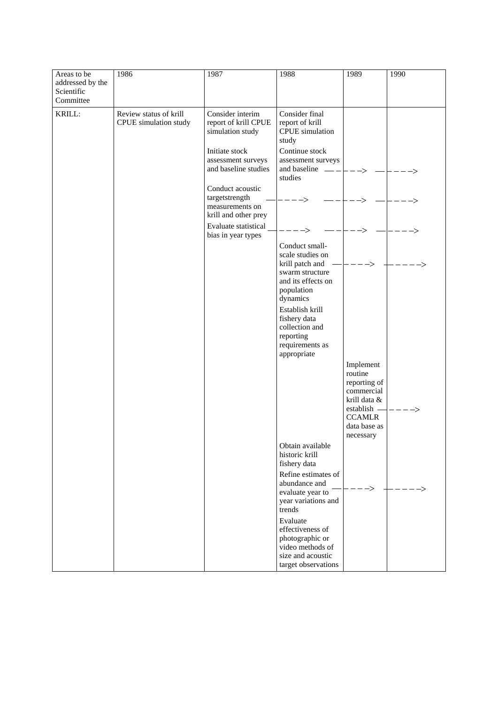| Areas to be                                 | 1986                                            | 1987                                                                                                                                                                                                                                                        | 1988                                                                                                                                                                                                                                                                                                                                                                                                                            | 1989                                                                                                                     | 1990 |
|---------------------------------------------|-------------------------------------------------|-------------------------------------------------------------------------------------------------------------------------------------------------------------------------------------------------------------------------------------------------------------|---------------------------------------------------------------------------------------------------------------------------------------------------------------------------------------------------------------------------------------------------------------------------------------------------------------------------------------------------------------------------------------------------------------------------------|--------------------------------------------------------------------------------------------------------------------------|------|
| addressed by the<br>Scientific<br>Committee |                                                 |                                                                                                                                                                                                                                                             |                                                                                                                                                                                                                                                                                                                                                                                                                                 |                                                                                                                          |      |
| KRILL:                                      | Review status of krill<br>CPUE simulation study | Consider interim<br>report of krill CPUE<br>simulation study<br>Initiate stock<br>assessment surveys<br>and baseline studies<br>Conduct acoustic<br>targetstrength<br>measurements on<br>krill and other prey<br>Evaluate statistical<br>bias in year types | Consider final<br>report of krill<br>CPUE simulation<br>study<br>Continue stock<br>assessment surveys<br>and baseline $\_\_\_\_\_\_\_\_\_\_\_\_\_\_\_\_\_\_\_\_\_\_\_\_\_\_\_\_\_\_$<br>studies<br>Conduct small-<br>scale studies on<br>krill patch and<br>swarm structure<br>and its effects on<br>population<br>dynamics<br>Establish krill<br>fishery data<br>collection and<br>reporting<br>requirements as<br>appropriate | -><br>Implement<br>routine<br>reporting of<br>commercial<br>krill data &<br>establish -<br><b>CCAMLR</b><br>data base as |      |
|                                             |                                                 |                                                                                                                                                                                                                                                             | Obtain available<br>historic krill<br>fishery data                                                                                                                                                                                                                                                                                                                                                                              | necessary                                                                                                                |      |
|                                             |                                                 |                                                                                                                                                                                                                                                             | Refine estimates of<br>abundance and<br>evaluate year to<br>year variations and<br>trends                                                                                                                                                                                                                                                                                                                                       | $\rightarrow$                                                                                                            |      |
|                                             |                                                 |                                                                                                                                                                                                                                                             | Evaluate<br>effectiveness of<br>photographic or<br>video methods of<br>size and acoustic<br>target observations                                                                                                                                                                                                                                                                                                                 |                                                                                                                          |      |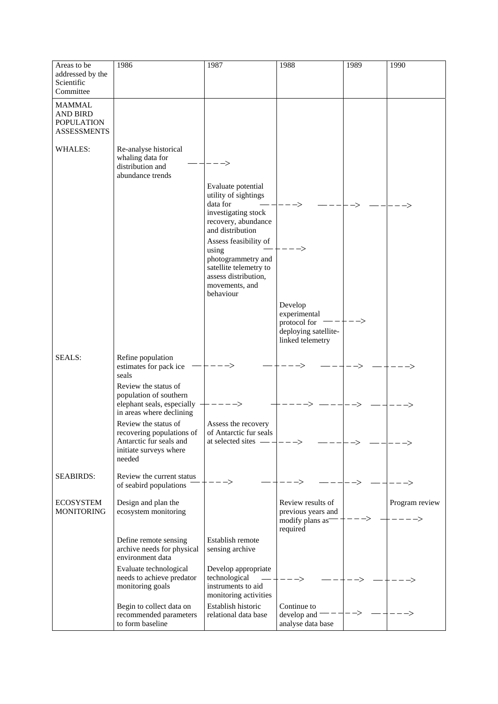| Areas to be<br>addressed by the<br>Scientific<br>Committee                  | 1986                                                                                                             | 1987                                                                                                | 1988                                                                                | 1989 | 1990           |
|-----------------------------------------------------------------------------|------------------------------------------------------------------------------------------------------------------|-----------------------------------------------------------------------------------------------------|-------------------------------------------------------------------------------------|------|----------------|
| <b>MAMMAL</b><br><b>AND BIRD</b><br><b>POPULATION</b><br><b>ASSESSMENTS</b> |                                                                                                                  |                                                                                                     |                                                                                     |      |                |
| <b>WHALES:</b>                                                              | Re-analyse historical<br>whaling data for<br>distribution and<br>abundance trends                                | $\rightarrow$<br>Evaluate potential                                                                 |                                                                                     |      |                |
|                                                                             |                                                                                                                  | utility of sightings<br>data for<br>investigating stock                                             |                                                                                     |      |                |
|                                                                             |                                                                                                                  | recovery, abundance<br>and distribution<br>Assess feasibility of<br>using                           |                                                                                     |      |                |
|                                                                             |                                                                                                                  | photogrammetry and<br>satellite telemetry to<br>assess distribution,<br>movements, and<br>behaviour |                                                                                     |      |                |
|                                                                             |                                                                                                                  |                                                                                                     | Develop<br>experimental<br>protocol for<br>deploying satellite-<br>linked telemetry | ->   |                |
| <b>SEALS:</b>                                                               | Refine population<br>estimates for pack ice<br>seals                                                             |                                                                                                     |                                                                                     |      |                |
|                                                                             | Review the status of<br>population of southern<br>elephant seals, especially $-$<br>in areas where declining     | ----->                                                                                              |                                                                                     |      |                |
|                                                                             | Review the status of<br>recovering populations of<br>Antarctic fur seals and<br>initiate surveys where<br>needed | Assess the recovery<br>of Antarctic fur seals<br>at selected sites -                                |                                                                                     |      |                |
| <b>SEABIRDS:</b>                                                            | Review the current status<br>of seabird populations                                                              |                                                                                                     |                                                                                     |      |                |
| <b>ECOSYSTEM</b><br><b>MONITORING</b>                                       | Design and plan the<br>ecosystem monitoring                                                                      |                                                                                                     | Review results of<br>previous years and<br>modify plans as<br>required              |      | Program review |
|                                                                             | Define remote sensing<br>archive needs for physical<br>environment data                                          | Establish remote<br>sensing archive                                                                 |                                                                                     |      |                |
|                                                                             | Evaluate technological<br>needs to achieve predator<br>monitoring goals                                          | Develop appropriate<br>technological<br>instruments to aid<br>monitoring activities                 |                                                                                     |      |                |
|                                                                             | Begin to collect data on<br>recommended parameters<br>to form baseline                                           | Establish historic<br>relational data base                                                          | Continue to<br>develop and<br>analyse data base                                     |      |                |